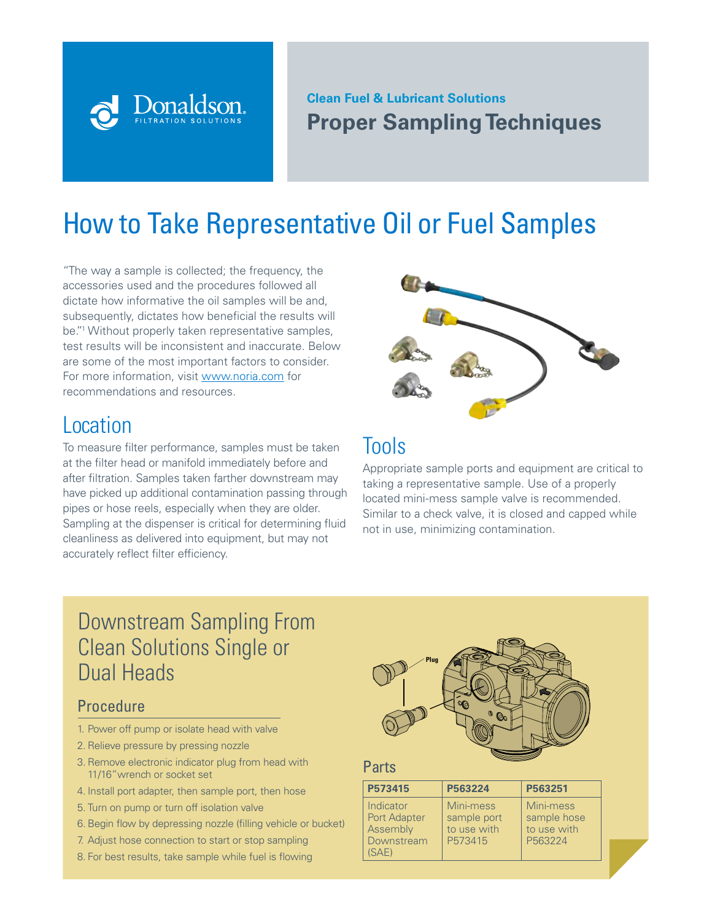### **Clean Fuel & Lubricant Solutions Proper Sampling Techniques**

# How to Take Representative Oil or Fuel Samples

"The way a sample is collected; the frequency, the accessories used and the procedures followed all dictate how informative the oil samples will be and, subsequently, dictates how beneficial the results will be."1 Without properly taken representative samples, test results will be inconsistent and inaccurate. Below are some of the most important factors to consider. For more information, visit www.noria.com for recommendations and resources.

**Donaldso** 

### Location

To measure filter performance, samples must be taken at the filter head or manifold immediately before and after filtration. Samples taken farther downstream may have picked up additional contamination passing through pipes or hose reels, especially when they are older. Sampling at the dispenser is critical for determining fluid cleanliness as delivered into equipment, but may not accurately reflect filter efficiency.



### Tools

Appropriate sample ports and equipment are critical to taking a representative sample. Use of a properly located mini-mess sample valve is recommended. Similar to a check valve, it is closed and capped while not in use, minimizing contamination.

# Downstream Sampling From Clean Solutions Single or Dual Heads

### **Procedure**

- 1. Power off pump or isolate head with valve
- 2. Relieve pressure by pressing nozzle
- 3. Remove electronic indicator plug from head with 11/16"wrench or socket set
- 4. Install port adapter, then sample port, then hose
- 5. Turn on pump or turn off isolation valve
- 6. Begin flow by depressing nozzle (filling vehicle or bucket)
- 7. Adjust hose connection to start or stop sampling
- 8. For best results, take sample while fuel is flowing



### Parts

| P573415                                                             | P563224                                            | P563251                                            |
|---------------------------------------------------------------------|----------------------------------------------------|----------------------------------------------------|
| Indicator<br><b>Port Adapter</b><br>Assembly<br>Downstream<br>(SAE) | Mini-mess<br>sample port<br>to use with<br>P573415 | Mini-mess<br>sample hose<br>to use with<br>P563224 |